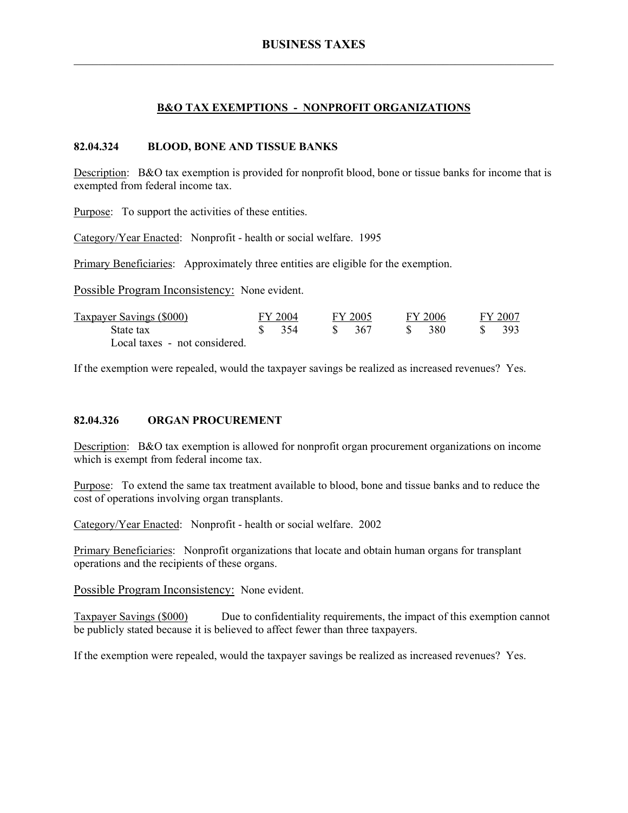### **B&O TAX EXEMPTIONS - NONPROFIT ORGANIZATIONS**

### **82.04.324 BLOOD, BONE AND TISSUE BANKS**

Description: B&O tax exemption is provided for nonprofit blood, bone or tissue banks for income that is exempted from federal income tax.

Purpose: To support the activities of these entities.

Category/Year Enacted: Nonprofit - health or social welfare. 1995

Primary Beneficiaries: Approximately three entities are eligible for the exemption.

Possible Program Inconsistency: None evident.

| Taxpayer Savings (\$000)      | FY 2004 |                |              | FY 2005 |      | FY 2006 |  | FY 2007 |  |
|-------------------------------|---------|----------------|--------------|---------|------|---------|--|---------|--|
| State tax                     |         | $\sqrt{8}$ 354 | $S_{\alpha}$ | - 367   | -S – | -380    |  | -393    |  |
| Local taxes - not considered. |         |                |              |         |      |         |  |         |  |

If the exemption were repealed, would the taxpayer savings be realized as increased revenues? Yes.

# **82.04.326 ORGAN PROCUREMENT**

Description: B&O tax exemption is allowed for nonprofit organ procurement organizations on income which is exempt from federal income tax.

Purpose: To extend the same tax treatment available to blood, bone and tissue banks and to reduce the cost of operations involving organ transplants.

Category/Year Enacted: Nonprofit - health or social welfare. 2002

Primary Beneficiaries: Nonprofit organizations that locate and obtain human organs for transplant operations and the recipients of these organs.

Possible Program Inconsistency: None evident.

Taxpayer Savings (\$000) Due to confidentiality requirements, the impact of this exemption cannot be publicly stated because it is believed to affect fewer than three taxpayers.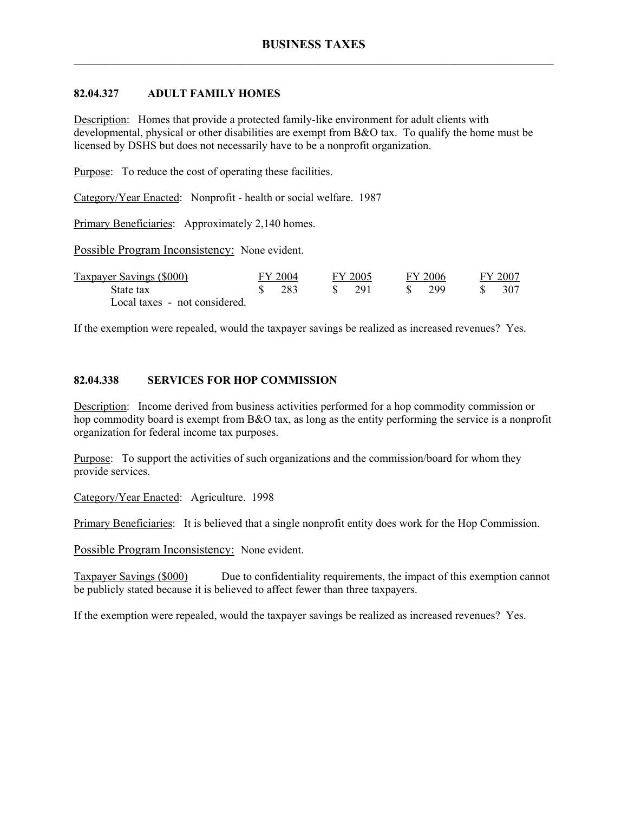## **82.04.327 ADULT FAMILY HOMES**

Description: Homes that provide a protected family-like environment for adult clients with developmental, physical or other disabilities are exempt from B&O tax. To qualify the home must be licensed by DSHS but does not necessarily have to be a nonprofit organization.

Purpose: To reduce the cost of operating these facilities.

Category/Year Enacted: Nonprofit - health or social welfare. 1987

Primary Beneficiaries: Approximately 2,140 homes.

Possible Program Inconsistency: None evident.

| Taxpayer Savings (\$000)      | FY 2004 |       | FY 2005      |       | FY 2006 |     | FY 2007 |     |
|-------------------------------|---------|-------|--------------|-------|---------|-----|---------|-----|
| State tax                     |         | - 283 | $S_{\alpha}$ | - 291 |         | 299 |         | 307 |
| Local taxes - not considered. |         |       |              |       |         |     |         |     |

If the exemption were repealed, would the taxpayer savings be realized as increased revenues? Yes.

## **82.04.338 SERVICES FOR HOP COMMISSION**

Description: Income derived from business activities performed for a hop commodity commission or hop commodity board is exempt from B&O tax, as long as the entity performing the service is a nonprofit organization for federal income tax purposes.

Purpose: To support the activities of such organizations and the commission/board for whom they provide services.

Category/Year Enacted: Agriculture. 1998

Primary Beneficiaries: It is believed that a single nonprofit entity does work for the Hop Commission.

Possible Program Inconsistency: None evident.

Taxpayer Savings (\$000) Due to confidentiality requirements, the impact of this exemption cannot be publicly stated because it is believed to affect fewer than three taxpayers.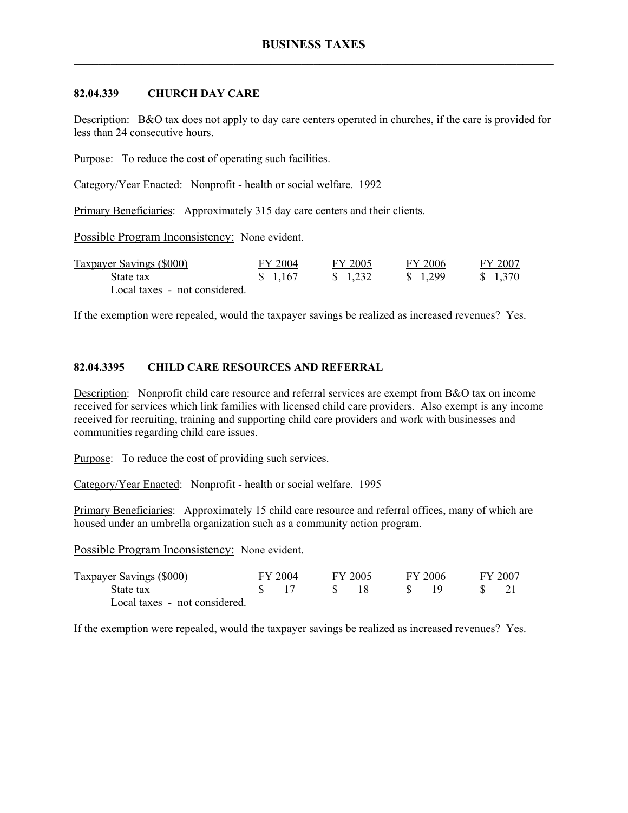### **82.04.339 CHURCH DAY CARE**

Description: B&O tax does not apply to day care centers operated in churches, if the care is provided for less than 24 consecutive hours.

Purpose: To reduce the cost of operating such facilities.

Category/Year Enacted: Nonprofit - health or social welfare. 1992

Primary Beneficiaries: Approximately 315 day care centers and their clients.

Possible Program Inconsistency: None evident.

| Taxpayer Savings (\$000)      | FY 2004 | FY 2005           | FY 2006  | FY 2007 |
|-------------------------------|---------|-------------------|----------|---------|
| State tax                     | \$1,167 | $\frac{1,232}{ }$ | \$ 1.299 | \$1,370 |
| Local taxes - not considered. |         |                   |          |         |

If the exemption were repealed, would the taxpayer savings be realized as increased revenues? Yes.

# **82.04.3395 CHILD CARE RESOURCES AND REFERRAL**

Description: Nonprofit child care resource and referral services are exempt from B&O tax on income received for services which link families with licensed child care providers. Also exempt is any income received for recruiting, training and supporting child care providers and work with businesses and communities regarding child care issues.

Purpose: To reduce the cost of providing such services.

Category/Year Enacted: Nonprofit - health or social welfare. 1995

Primary Beneficiaries: Approximately 15 child care resource and referral offices, many of which are housed under an umbrella organization such as a community action program.

Possible Program Inconsistency: None evident.

| Taxpayer Savings (\$000)      | FY 2004 |  | FY 2005 |  | FY 2006 |  | FY 2007 |  |
|-------------------------------|---------|--|---------|--|---------|--|---------|--|
| State tax                     |         |  |         |  |         |  |         |  |
| Local taxes - not considered. |         |  |         |  |         |  |         |  |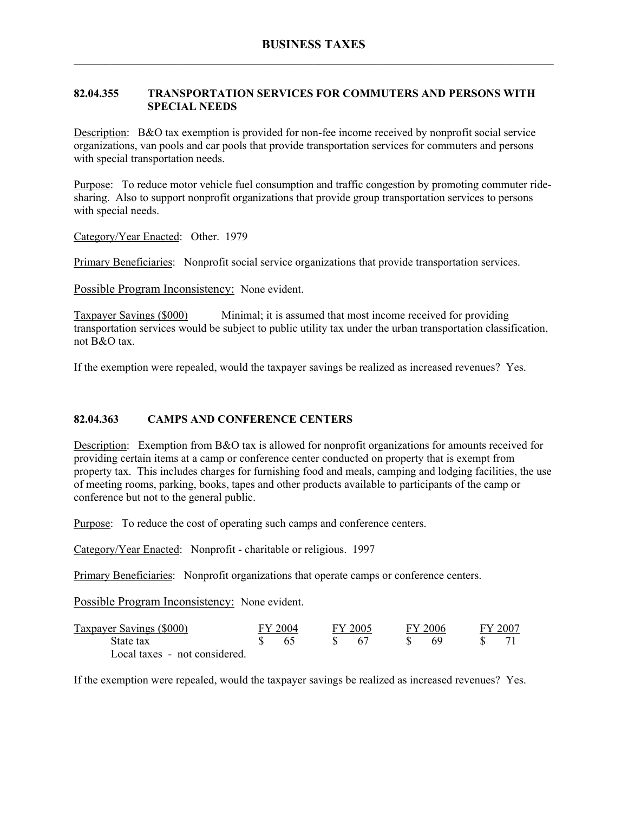## **82.04.355 TRANSPORTATION SERVICES FOR COMMUTERS AND PERSONS WITH SPECIAL NEEDS**

Description: B&O tax exemption is provided for non-fee income received by nonprofit social service organizations, van pools and car pools that provide transportation services for commuters and persons with special transportation needs.

Purpose: To reduce motor vehicle fuel consumption and traffic congestion by promoting commuter ridesharing. Also to support nonprofit organizations that provide group transportation services to persons with special needs.

Category/Year Enacted: Other. 1979

Primary Beneficiaries: Nonprofit social service organizations that provide transportation services.

Possible Program Inconsistency: None evident.

Taxpayer Savings (\$000) Minimal; it is assumed that most income received for providing transportation services would be subject to public utility tax under the urban transportation classification, not B&O tax.

If the exemption were repealed, would the taxpayer savings be realized as increased revenues? Yes.

### **82.04.363 CAMPS AND CONFERENCE CENTERS**

Description: Exemption from B&O tax is allowed for nonprofit organizations for amounts received for providing certain items at a camp or conference center conducted on property that is exempt from property tax. This includes charges for furnishing food and meals, camping and lodging facilities, the use of meeting rooms, parking, books, tapes and other products available to participants of the camp or conference but not to the general public.

Purpose: To reduce the cost of operating such camps and conference centers.

Category/Year Enacted: Nonprofit - charitable or religious. 1997

Primary Beneficiaries: Nonprofit organizations that operate camps or conference centers.

Possible Program Inconsistency: None evident.

| Taxpayer Savings (\$000)      | FY 2004 |  | FY 2005 |  | FY 2006 |  | FY 2007 |  |
|-------------------------------|---------|--|---------|--|---------|--|---------|--|
| State tax                     |         |  |         |  |         |  |         |  |
| Local taxes - not considered. |         |  |         |  |         |  |         |  |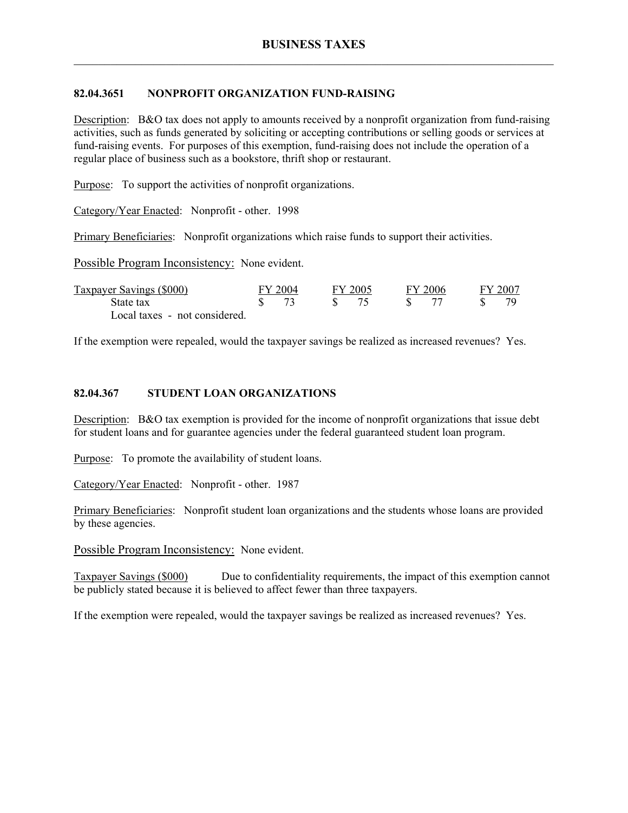# **82.04.3651 NONPROFIT ORGANIZATION FUND-RAISING**

Description: B&O tax does not apply to amounts received by a nonprofit organization from fund-raising activities, such as funds generated by soliciting or accepting contributions or selling goods or services at fund-raising events. For purposes of this exemption, fund-raising does not include the operation of a regular place of business such as a bookstore, thrift shop or restaurant.

Purpose: To support the activities of nonprofit organizations.

Category/Year Enacted: Nonprofit - other. 1998

Primary Beneficiaries: Nonprofit organizations which raise funds to support their activities.

Possible Program Inconsistency: None evident.

| Taxpayer Savings (\$000)      | FY 2004 | FY 2005 | FY 2006 | FY 2007 |
|-------------------------------|---------|---------|---------|---------|
| State tax                     |         |         |         |         |
| Local taxes - not considered. |         |         |         |         |

If the exemption were repealed, would the taxpayer savings be realized as increased revenues? Yes.

## **82.04.367 STUDENT LOAN ORGANIZATIONS**

Description: B&O tax exemption is provided for the income of nonprofit organizations that issue debt for student loans and for guarantee agencies under the federal guaranteed student loan program.

Purpose: To promote the availability of student loans.

Category/Year Enacted: Nonprofit - other. 1987

Primary Beneficiaries: Nonprofit student loan organizations and the students whose loans are provided by these agencies.

Possible Program Inconsistency: None evident.

Taxpayer Savings (\$000) Due to confidentiality requirements, the impact of this exemption cannot be publicly stated because it is believed to affect fewer than three taxpayers.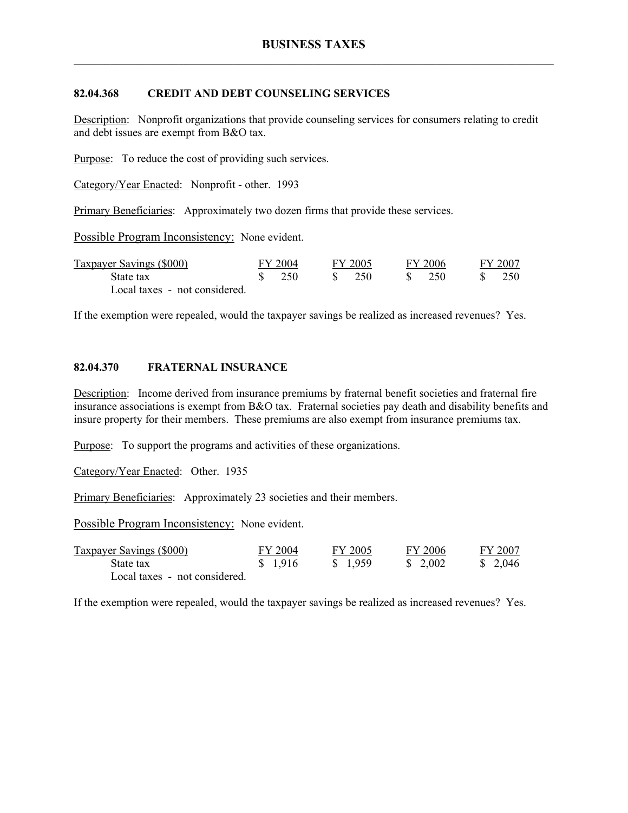### **82.04.368 CREDIT AND DEBT COUNSELING SERVICES**

Description: Nonprofit organizations that provide counseling services for consumers relating to credit and debt issues are exempt from B&O tax.

Purpose: To reduce the cost of providing such services.

Category/Year Enacted: Nonprofit - other. 1993

Primary Beneficiaries: Approximately two dozen firms that provide these services.

Possible Program Inconsistency: None evident.

| Taxpayer Savings (\$000)      | FY 2004 |  | FY 2005 |  | FY 2006 |  | FY 2007 |  |
|-------------------------------|---------|--|---------|--|---------|--|---------|--|
| State tax                     | 250     |  | 250     |  | -250    |  |         |  |
| Local taxes - not considered. |         |  |         |  |         |  |         |  |

If the exemption were repealed, would the taxpayer savings be realized as increased revenues? Yes.

#### **82.04.370 FRATERNAL INSURANCE**

Description: Income derived from insurance premiums by fraternal benefit societies and fraternal fire insurance associations is exempt from B&O tax. Fraternal societies pay death and disability benefits and insure property for their members. These premiums are also exempt from insurance premiums tax.

Purpose: To support the programs and activities of these organizations.

Category/Year Enacted: Other. 1935

Primary Beneficiaries: Approximately 23 societies and their members.

Possible Program Inconsistency: None evident.

| <b>Taxpayer Savings (\$000)</b> | FY 2004  | FY 2005 | FY 2006  | FY 2007  |
|---------------------------------|----------|---------|----------|----------|
| State tax                       | \$ 1,916 | \$1,959 | \$ 2.002 | \$ 2.046 |
| Local taxes - not considered.   |          |         |          |          |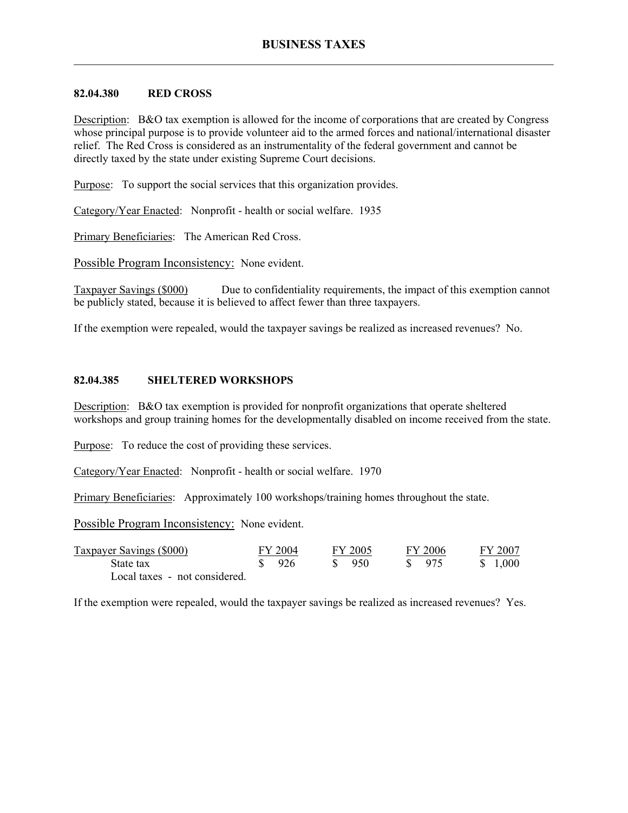### **82.04.380 RED CROSS**

Description: B&O tax exemption is allowed for the income of corporations that are created by Congress whose principal purpose is to provide volunteer aid to the armed forces and national/international disaster relief. The Red Cross is considered as an instrumentality of the federal government and cannot be directly taxed by the state under existing Supreme Court decisions.

Purpose: To support the social services that this organization provides.

Category/Year Enacted: Nonprofit - health or social welfare. 1935

Primary Beneficiaries: The American Red Cross.

Possible Program Inconsistency: None evident.

Taxpayer Savings (\$000) Due to confidentiality requirements, the impact of this exemption cannot be publicly stated, because it is believed to affect fewer than three taxpayers.

If the exemption were repealed, would the taxpayer savings be realized as increased revenues? No.

## **82.04.385 SHELTERED WORKSHOPS**

Description: B&O tax exemption is provided for nonprofit organizations that operate sheltered workshops and group training homes for the developmentally disabled on income received from the state.

Purpose: To reduce the cost of providing these services.

Category/Year Enacted: Nonprofit - health or social welfare. 1970

Primary Beneficiaries: Approximately 100 workshops/training homes throughout the state.

Possible Program Inconsistency: None evident.

| <b>Taxpayer Savings (\$000)</b> | FY 2004             | FY 2005           | FY 2006           | FY 2007 |
|---------------------------------|---------------------|-------------------|-------------------|---------|
| State tax                       | $\frac{\$}{\$}$ 926 | $\frac{1}{2}$ 950 | $\frac{1}{2}$ 975 | \$1,000 |
| Local taxes - not considered.   |                     |                   |                   |         |